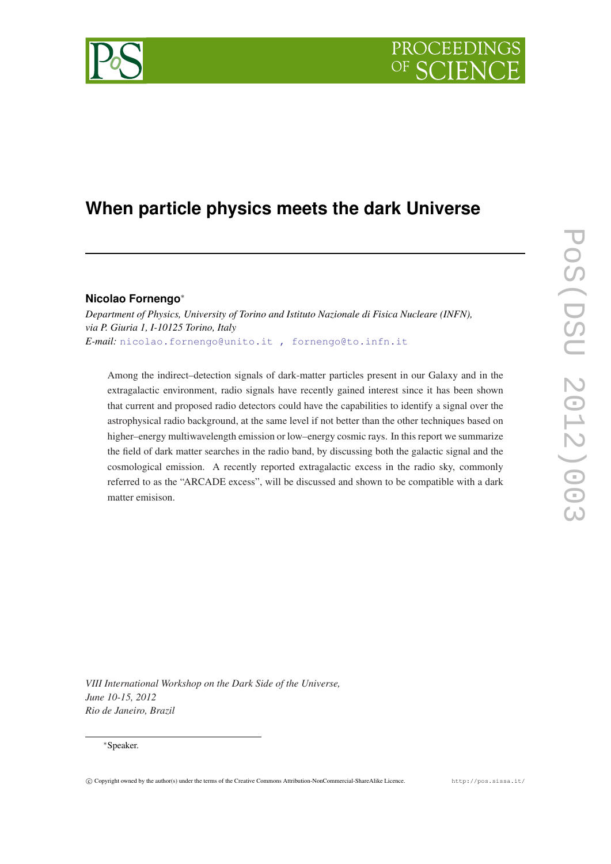# PROCEEDIN



# **When particle physics meets the dark Universe**

# **Nicolao Fornengo**<sup>∗</sup>

*Department of Physics, University of Torino and Istituto Nazionale di Fisica Nucleare (INFN), via P. Giuria 1, I-10125 Torino, Italy E-mail:* [nicolao.fornengo@unito.it , fornengo@to.infn.it](mailto:nicolao.fornengo@unito.it , fornengo@to.infn.it)

Among the indirect–detection signals of dark-matter particles present in our Galaxy and in the extragalactic environment, radio signals have recently gained interest since it has been shown that current and proposed radio detectors could have the capabilities to identify a signal over the astrophysical radio background, at the same level if not better than the other techniques based on higher–energy multiwavelength emission or low–energy cosmic rays. In this report we summarize the field of dark matter searches in the radio band, by discussing both the galactic signal and the cosmological emission. A recently reported extragalactic excess in the radio sky, commonly referred to as the "ARCADE excess", will be discussed and shown to be compatible with a dark matter emisison.

*VIII International Workshop on the Dark Side of the Universe, June 10-15, 2012 Rio de Janeiro, Brazil*

#### <sup>∗</sup>Speaker.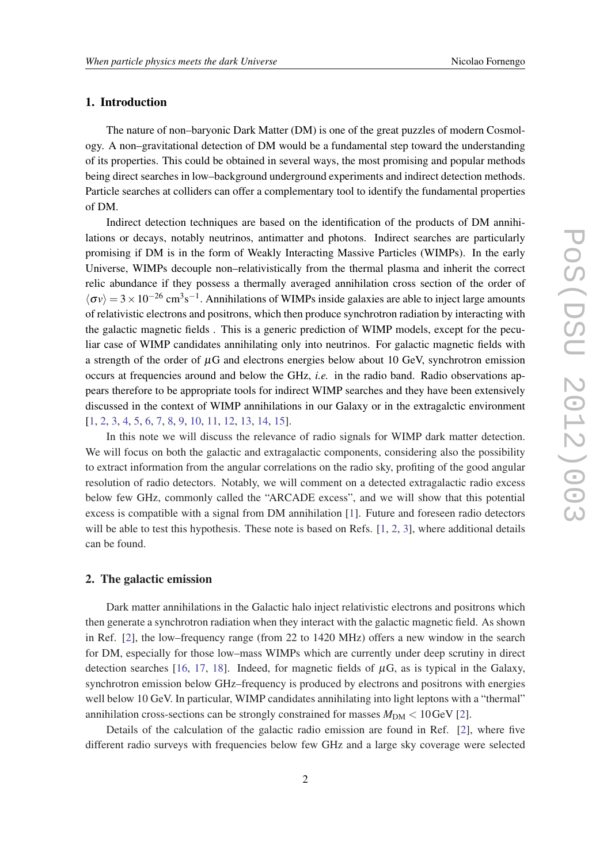# 1. Introduction

The nature of non–baryonic Dark Matter (DM) is one of the great puzzles of modern Cosmology. A non–gravitational detection of DM would be a fundamental step toward the understanding of its properties. This could be obtained in several ways, the most promising and popular methods being direct searches in low–background underground experiments and indirect detection methods. Particle searches at colliders can offer a complementary tool to identify the fundamental properties of DM.

Indirect detection techniques are based on the identification of the products of DM annihilations or decays, notably neutrinos, antimatter and photons. Indirect searches are particularly promising if DM is in the form of Weakly Interacting Massive Particles (WIMPs). In the early Universe, WIMPs decouple non–relativistically from the thermal plasma and inherit the correct relic abundance if they possess a thermally averaged annihilation cross section of the order of  $\langle \sigma v \rangle = 3 \times 10^{-26}$  cm<sup>3</sup>s<sup>-1</sup>. Annihilations of WIMPs inside galaxies are able to inject large amounts of relativistic electrons and positrons, which then produce synchrotron radiation by interacting with the galactic magnetic fields . This is a generic prediction of WIMP models, except for the peculiar case of WIMP candidates annihilating only into neutrinos. For galactic magnetic fields with a strength of the order of  $\mu$ G and electrons energies below about 10 GeV, synchrotron emission occurs at frequencies around and below the GHz, *i.e.* in the radio band. Radio observations appears therefore to be appropriate tools for indirect WIMP searches and they have been extensively discussed in the context of WIMP annihilations in our Galaxy or in the extragalctic environment [[1](#page-12-0), [2](#page-12-0), [3](#page-13-0), [4](#page-13-0), [5](#page-13-0), [6,](#page-13-0) [7,](#page-13-0) [8,](#page-13-0) [9,](#page-13-0) [10](#page-13-0), [11](#page-13-0), [12,](#page-13-0) [13](#page-13-0), [14,](#page-13-0) [15\]](#page-13-0).

In this note we will discuss the relevance of radio signals for WIMP dark matter detection. We will focus on both the galactic and extragalactic components, considering also the possibility to extract information from the angular correlations on the radio sky, profiting of the good angular resolution of radio detectors. Notably, we will comment on a detected extragalactic radio excess below few GHz, commonly called the "ARCADE excess", and we will show that this potential excess is compatible with a signal from DM annihilation [\[1\]](#page-12-0). Future and foreseen radio detectors will be able to test this hypothesis. These note is based on Refs. [[1](#page-12-0), [2](#page-12-0), [3](#page-13-0)], where additional details can be found.

# 2. The galactic emission

Dark matter annihilations in the Galactic halo inject relativistic electrons and positrons which then generate a synchrotron radiation when they interact with the galactic magnetic field. As shown in Ref. [[2](#page-12-0)], the low–frequency range (from 22 to 1420 MHz) offers a new window in the search for DM, especially for those low–mass WIMPs which are currently under deep scrutiny in direct detection searches [[16,](#page-13-0) [17](#page-13-0), [18\]](#page-13-0). Indeed, for magnetic fields of  $\mu$ G, as is typical in the Galaxy, synchrotron emission below GHz–frequency is produced by electrons and positrons with energies well below 10 GeV. In particular, WIMP candidates annihilating into light leptons with a "thermal" annihilation cross-sections can be strongly constrained for masses  $M_{DM} < 10 \,\text{GeV}$  [\[2\]](#page-12-0).

Details of the calculation of the galactic radio emission are found in Ref. [[2](#page-12-0)], where five different radio surveys with frequencies below few GHz and a large sky coverage were selected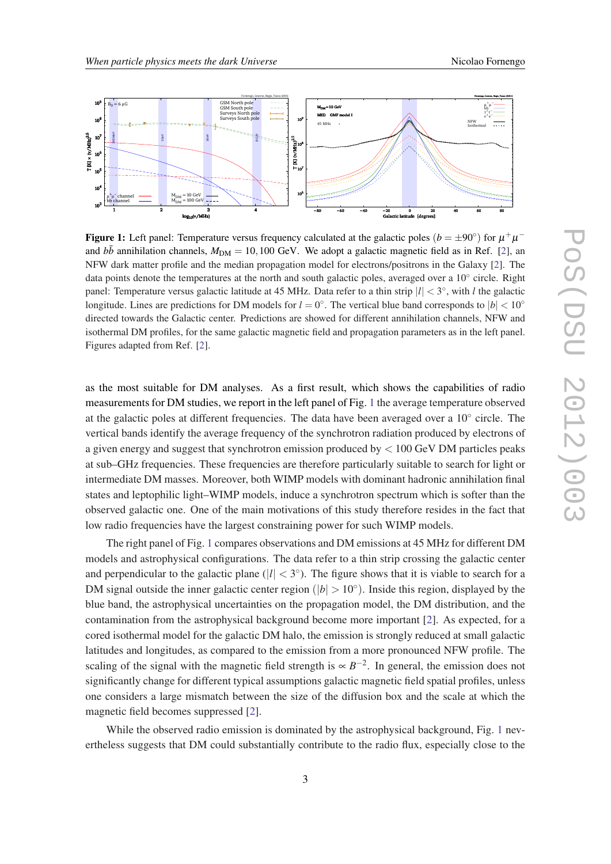

Figure 1: Left panel: Temperature versus frequency calculated at the galactic poles  $(b = \pm 90^{\circ})$  for  $\mu^+ \mu^$ and  $b\bar{b}$  annihilation channels,  $M_{DM} = 10,100$  GeV. We adopt a galactic magnetic field as in Ref. [\[2](#page-12-0)], an NFW dark matter profile and the median propagation model for electrons/positrons in the Galaxy [[2\]](#page-12-0). The data points denote the temperatures at the north and south galactic poles, averaged over a 10° circle. Right panel: Temperature versus galactic latitude at 45 MHz. Data refer to a thin strip  $|l| < 3^{\circ}$ , with *l* the galactic longitude. Lines are predictions for DM models for  $l = 0^\circ$ . The vertical blue band corresponds to  $|b| < 10^\circ$ directed towards the Galactic center. Predictions are showed for different annihilation channels, NFW and isothermal DM profiles, for the same galactic magnetic field and propagation parameters as in the left panel. Figures adapted from Ref. [\[2](#page-12-0)].

as the most suitable for DM analyses. As a first result, which shows the capabilities of radio measurements for DM studies, we report in the left panel of Fig. 1 the average temperature observed at the galactic poles at different frequencies. The data have been averaged over a 10° circle. The vertical bands identify the average frequency of the synchrotron radiation produced by electrons of a given energy and suggest that synchrotron emission produced by  $< 100$  GeV DM particles peaks at sub–GHz frequencies. These frequencies are therefore particularly suitable to search for light or intermediate DM masses. Moreover, both WIMP models with dominant hadronic annihilation final states and leptophilic light–WIMP models, induce a synchrotron spectrum which is softer than the observed galactic one. One of the main motivations of this study therefore resides in the fact that low radio frequencies have the largest constraining power for such WIMP models.

The right panel of Fig. 1 compares observations and DM emissions at 45 MHz for different DM models and astrophysical configurations. The data refer to a thin strip crossing the galactic center and perpendicular to the galactic plane  $(|l| < 3^{\circ})$ . The figure shows that it is viable to search for a DM signal outside the inner galactic center region ( $|b| > 10°$ ). Inside this region, displayed by the blue band, the astrophysical uncertainties on the propagation model, the DM distribution, and the contamination from the astrophysical background become more important [[2](#page-12-0)]. As expected, for a cored isothermal model for the galactic DM halo, the emission is strongly reduced at small galactic latitudes and longitudes, as compared to the emission from a more pronounced NFW profile. The scaling of the signal with the magnetic field strength is  $\propto B^{-2}$ . In general, the emission does not significantly change for different typical assumptions galactic magnetic field spatial profiles, unless one considers a large mismatch between the size of the diffusion box and the scale at which the magnetic field becomes suppressed [\[2\]](#page-12-0).

While the observed radio emission is dominated by the astrophysical background, Fig. 1 nevertheless suggests that DM could substantially contribute to the radio flux, especially close to the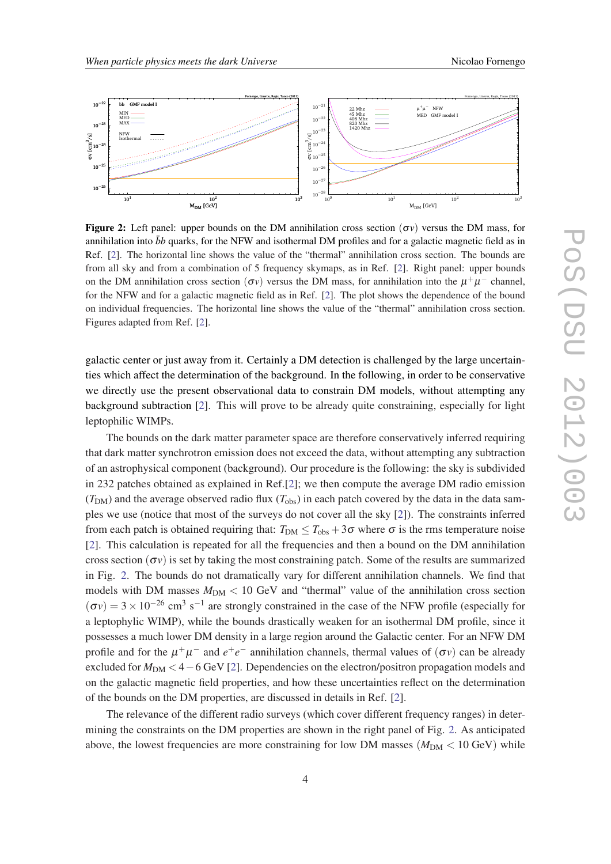<span id="page-3-0"></span>

**Figure 2:** Left panel: upper bounds on the DM annihilation cross section  $(\sigma v)$  versus the DM mass, for annihilation into  $\bar{b}b$  quarks, for the NFW and isothermal DM profiles and for a galactic magnetic field as in Ref. [\[2](#page-12-0)]. The horizontal line shows the value of the "thermal" annihilation cross section. The bounds are from all sky and from a combination of 5 frequency skymaps, as in Ref. [\[2](#page-12-0)]. Right panel: upper bounds on the DM annihilation cross section  $(\sigma v)$  versus the DM mass, for annihilation into the  $\mu^+\mu^-$  channel, for the NFW and for a galactic magnetic field as in Ref. [[2\]](#page-12-0). The plot shows the dependence of the bound on individual frequencies. The horizontal line shows the value of the "thermal" annihilation cross section. Figures adapted from Ref. [\[2](#page-12-0)].

galactic center or just away from it. Certainly a DM detection is challenged by the large uncertainties which affect the determination of the background. In the following, in order to be conservative we directly use the present observational data to constrain DM models, without attempting any background subtraction [[2](#page-12-0)]. This will prove to be already quite constraining, especially for light leptophilic WIMPs.

The bounds on the dark matter parameter space are therefore conservatively inferred requiring that dark matter synchrotron emission does not exceed the data, without attempting any subtraction of an astrophysical component (background). Our procedure is the following: the sky is subdivided in 232 patches obtained as explained in Ref.[\[2\]](#page-12-0); we then compute the average DM radio emission  $(T_{DM})$  and the average observed radio flux  $(T_{obs})$  in each patch covered by the data in the data samples we use (notice that most of the surveys do not cover all the sky [[2](#page-12-0)]). The constraints inferred from each patch is obtained requiring that:  $T_{DM} \leq T_{obs} + 3\sigma$  where  $\sigma$  is the rms temperature noise [[2](#page-12-0)]. This calculation is repeated for all the frequencies and then a bound on the DM annihilation cross section ( $\sigma v$ ) is set by taking the most constraining patch. Some of the results are summarized in Fig. 2. The bounds do not dramatically vary for different annihilation channels. We find that models with DM masses  $M_{DM}$  < 10 GeV and "thermal" value of the annihilation cross section  $(\sigma v) = 3 \times 10^{-26}$  cm<sup>3</sup> s<sup>-1</sup> are strongly constrained in the case of the NFW profile (especially for a leptophylic WIMP), while the bounds drastically weaken for an isothermal DM profile, since it possesses a much lower DM density in a large region around the Galactic center. For an NFW DM profile and for the  $\mu^+\mu^-$  and  $e^+e^-$  annihilation channels, thermal values of  $(\sigma v)$  can be already excluded for *M*<sub>DM</sub> < 4 – 6 GeV [[2](#page-12-0)]. Dependencies on the electron/positron propagation models and on the galactic magnetic field properties, and how these uncertainties reflect on the determination of the bounds on the DM properties, are discussed in details in Ref. [\[2\]](#page-12-0).

The relevance of the different radio surveys (which cover different frequency ranges) in determining the constraints on the DM properties are shown in the right panel of Fig. 2. As anticipated above, the lowest frequencies are more constraining for low DM masses  $(M_{DM} < 10 \text{ GeV})$  while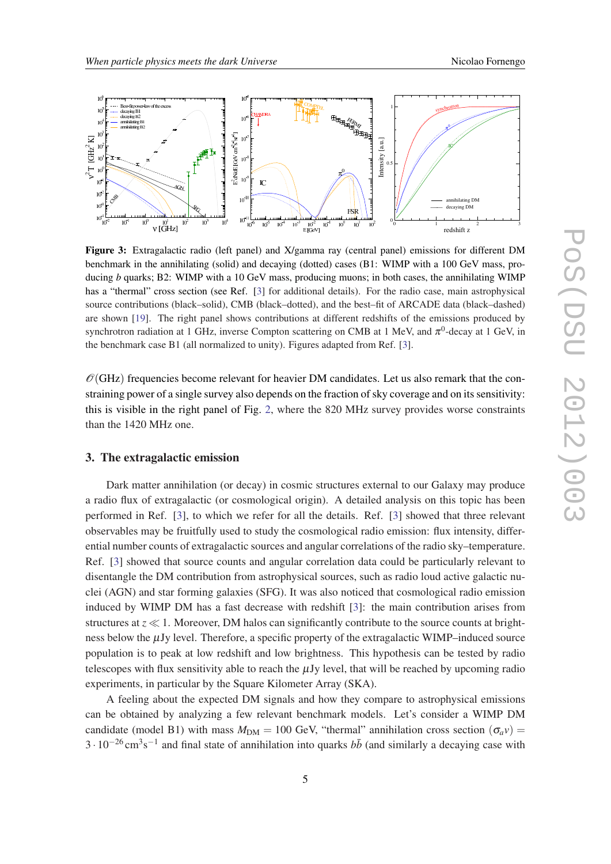<span id="page-4-0"></span>

Figure 3: Extragalactic radio (left panel) and X/gamma ray (central panel) emissions for different DM benchmark in the annihilating (solid) and decaying (dotted) cases (B1: WIMP with a 100 GeV mass, producing *b* quarks; B2: WIMP with a 10 GeV mass, producing muons; in both cases, the annihilating WIMP has a "thermal" cross section (see Ref. [\[3](#page-13-0)] for additional details). For the radio case, main astrophysical source contributions (black–solid), CMB (black–dotted), and the best–fit of ARCADE data (black–dashed) are shown [[19\]](#page-13-0). The right panel shows contributions at different redshifts of the emissions produced by synchrotron radiation at 1 GHz, inverse Compton scattering on CMB at 1 MeV, and  $\pi^0$ -decay at 1 GeV, in the benchmark case B1 (all normalized to unity). Figures adapted from Ref. [\[3](#page-13-0)].

 $\mathcal{O}(\text{GHz})$  frequencies become relevant for heavier DM candidates. Let us also remark that the constraining power of a single survey also depends on the fraction of sky coverage and on its sensitivity: this is visible in the right panel of Fig. [2,](#page-3-0) where the 820 MHz survey provides worse constraints than the 1420 MHz one.

#### 3. The extragalactic emission

Dark matter annihilation (or decay) in cosmic structures external to our Galaxy may produce a radio flux of extragalactic (or cosmological origin). A detailed analysis on this topic has been performed in Ref. [\[3\]](#page-13-0), to which we refer for all the details. Ref. [[3](#page-13-0)] showed that three relevant observables may be fruitfully used to study the cosmological radio emission: flux intensity, differential number counts of extragalactic sources and angular correlations of the radio sky–temperature. Ref. [[3](#page-13-0)] showed that source counts and angular correlation data could be particularly relevant to disentangle the DM contribution from astrophysical sources, such as radio loud active galactic nuclei (AGN) and star forming galaxies (SFG). It was also noticed that cosmological radio emission induced by WIMP DM has a fast decrease with redshift [\[3\]](#page-13-0): the main contribution arises from structures at  $z \ll 1$ . Moreover, DM halos can significantly contribute to the source counts at brightness below the  $\mu$ Jy level. Therefore, a specific property of the extragalactic WIMP–induced source population is to peak at low redshift and low brightness. This hypothesis can be tested by radio telescopes with flux sensitivity able to reach the  $\mu$ Jy level, that will be reached by upcoming radio experiments, in particular by the Square Kilometer Array (SKA).

A feeling about the expected DM signals and how they compare to astrophysical emissions can be obtained by analyzing a few relevant benchmark models. Let's consider a WIMP DM candidate (model B1) with mass  $M_{DM} = 100$  GeV, "thermal" annihilation cross section ( $\sigma_a v$ ) =  $3 \cdot 10^{-26}$  cm<sup>3</sup>s<sup>-1</sup> and final state of annihilation into quarks  $b\bar{b}$  (and similarly a decaying case with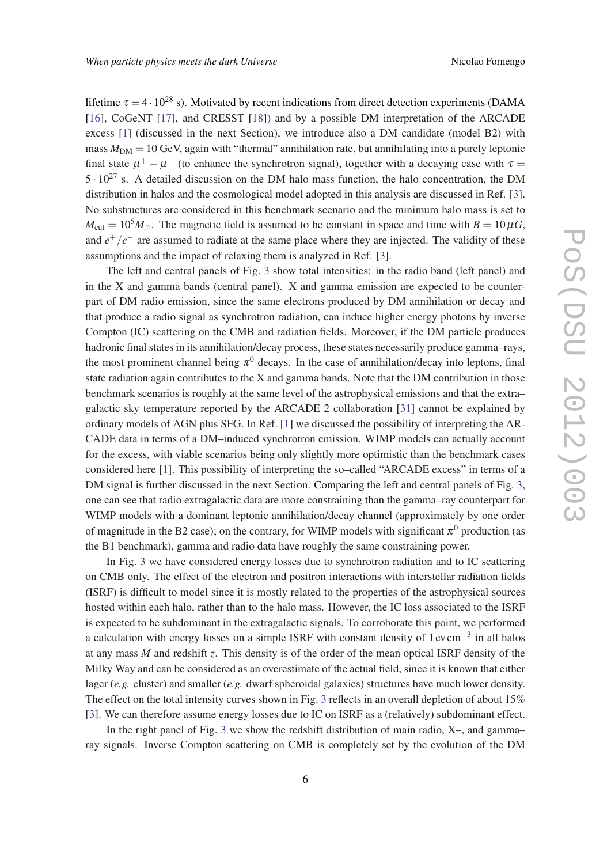lifetime  $\tau = 4 \cdot 10^{28}$  s). Motivated by recent indications from direct detection experiments (DAMA [[16\]](#page-13-0), CoGeNT [\[17](#page-13-0)], and CRESST [[18\]](#page-13-0)) and by a possible DM interpretation of the ARCADE excess [\[1\]](#page-12-0) (discussed in the next Section), we introduce also a DM candidate (model B2) with mass  $M_{DM} = 10$  GeV, again with "thermal" annihilation rate, but annihilating into a purely leptonic final state  $\mu^+ - \mu^-$  (to enhance the synchrotron signal), together with a decaying case with  $\tau =$  $5 \cdot 10^{27}$  s. A detailed discussion on the DM halo mass function, the halo concentration, the DM distribution in halos and the cosmological model adopted in this analysis are discussed in Ref. [\[3\]](#page-13-0). No substructures are considered in this benchmark scenario and the minimum halo mass is set to  $M_{\text{cut}} = 10^5 M_{\odot}$ . The magnetic field is assumed to be constant in space and time with  $B = 10 \mu G$ , and  $e^+/e^-$  are assumed to radiate at the same place where they are injected. The validity of these assumptions and the impact of relaxing them is analyzed in Ref. [\[3](#page-13-0)].

The left and central panels of Fig. [3](#page-4-0) show total intensities: in the radio band (left panel) and in the X and gamma bands (central panel). X and gamma emission are expected to be counterpart of DM radio emission, since the same electrons produced by DM annihilation or decay and that produce a radio signal as synchrotron radiation, can induce higher energy photons by inverse Compton (IC) scattering on the CMB and radiation fields. Moreover, if the DM particle produces hadronic final states in its annihilation/decay process, these states necessarily produce gamma–rays, the most prominent channel being  $\pi^0$  decays. In the case of annihilation/decay into leptons, final state radiation again contributes to the  $X$  and gamma bands. Note that the DM contribution in those benchmark scenarios is roughly at the same level of the astrophysical emissions and that the extra– galactic sky temperature reported by the ARCADE 2 collaboration [[31\]](#page-14-0) cannot be explained by ordinary models of AGN plus SFG. In Ref. [[1](#page-12-0)] we discussed the possibility of interpreting the AR-CADE data in terms of a DM–induced synchrotron emission. WIMP models can actually account for the excess, with viable scenarios being only slightly more optimistic than the benchmark cases considered here [\[1\]](#page-12-0). This possibility of interpreting the so–called "ARCADE excess" in terms of a DM signal is further discussed in the next Section. Comparing the left and central panels of Fig. [3](#page-4-0), one can see that radio extragalactic data are more constraining than the gamma–ray counterpart for WIMP models with a dominant leptonic annihilation/decay channel (approximately by one order of magnitude in the B2 case); on the contrary, for WIMP models with significant  $\pi^0$  production (as the B1 benchmark), gamma and radio data have roughly the same constraining power.

In Fig. [3](#page-4-0) we have considered energy losses due to synchrotron radiation and to IC scattering on CMB only. The effect of the electron and positron interactions with interstellar radiation fields (ISRF) is difficult to model since it is mostly related to the properties of the astrophysical sources hosted within each halo, rather than to the halo mass. However, the IC loss associated to the ISRF is expected to be subdominant in the extragalactic signals. To corroborate this point, we performed a calculation with energy losses on a simple ISRF with constant density of 1 ev cm<sup>-3</sup> in all halos at any mass *M* and redshift *z*. This density is of the order of the mean optical ISRF density of the Milky Way and can be considered as an overestimate of the actual field, since it is known that either lager (*e.g.* cluster) and smaller (*e.g.* dwarf spheroidal galaxies) structures have much lower density. The effect on the total intensity curves shown in Fig. [3](#page-4-0) reflects in an overall depletion of about 15% [[3](#page-13-0)]. We can therefore assume energy losses due to IC on ISRF as a (relatively) subdominant effect.

In the right panel of Fig. [3](#page-4-0) we show the redshift distribution of main radio, X–, and gamma– ray signals. Inverse Compton scattering on CMB is completely set by the evolution of the DM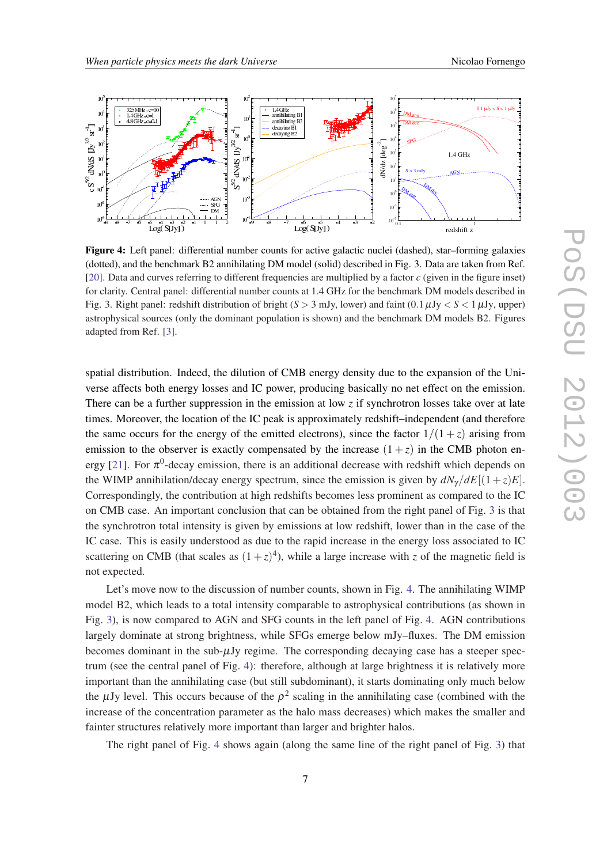<span id="page-6-0"></span>

Figure 4: Left panel: differential number counts for active galactic nuclei (dashed), star–forming galaxies (dotted), and the benchmark B2 annihilating DM model (solid) described in Fig. 3. Data are taken from Ref. [[20\]](#page-13-0). Data and curves referring to different frequencies are multiplied by a factor *c* (given in the figure inset) for clarity. Central panel: differential number counts at 1.4 GHz for the benchmark DM models described in Fig. 3. Right panel: redshift distribution of bright  $(S > 3$  mJy, lower) and faint  $(0.1 \mu Jy < S < 1 \mu Jy$ , upper) astrophysical sources (only the dominant population is shown) and the benchmark DM models B2. Figures adapted from Ref. [[3\]](#page-13-0).

spatial distribution. Indeed, the dilution of CMB energy density due to the expansion of the Universe affects both energy losses and IC power, producing basically no net effect on the emission. There can be a further suppression in the emission at low  $\zeta$  if synchrotron losses take over at late times. Moreover, the location of the IC peak is approximately redshift–independent (and therefore the same occurs for the energy of the emitted electrons), since the factor  $1/(1+z)$  arising from emission to the observer is exactly compensated by the increase  $(1 + z)$  in the CMB photon en-ergy [\[21](#page-13-0)]. For  $\pi^0$ -decay emission, there is an additional decrease with redshift which depends on the WIMP annihilation/decay energy spectrum, since the emission is given by  $dN_{\gamma}/dE[(1+z)E]$ . Correspondingly, the contribution at high redshifts becomes less prominent as compared to the IC on CMB case. An important conclusion that can be obtained from the right panel of Fig. [3](#page-4-0) is that the synchrotron total intensity is given by emissions at low redshift, lower than in the case of the IC case. This is easily understood as due to the rapid increase in the energy loss associated to IC scattering on CMB (that scales as  $(1+z)^4$ ), while a large increase with *z* of the magnetic field is not expected.

Let's move now to the discussion of number counts, shown in Fig. 4. The annihilating WIMP model B2, which leads to a total intensity comparable to astrophysical contributions (as shown in Fig. [3](#page-4-0)), is now compared to AGN and SFG counts in the left panel of Fig. 4. AGN contributions largely dominate at strong brightness, while SFGs emerge below mJy–fluxes. The DM emission becomes dominant in the sub- $\mu$ Jy regime. The corresponding decaying case has a steeper spectrum (see the central panel of Fig. 4): therefore, although at large brightness it is relatively more important than the annihilating case (but still subdominant), it starts dominating only much below the  $\mu$ Jy level. This occurs because of the  $\rho^2$  scaling in the annihilating case (combined with the increase of the concentration parameter as the halo mass decreases) which makes the smaller and fainter structures relatively more important than larger and brighter halos.

The right panel of Fig. 4 shows again (along the same line of the right panel of Fig. [3](#page-4-0)) that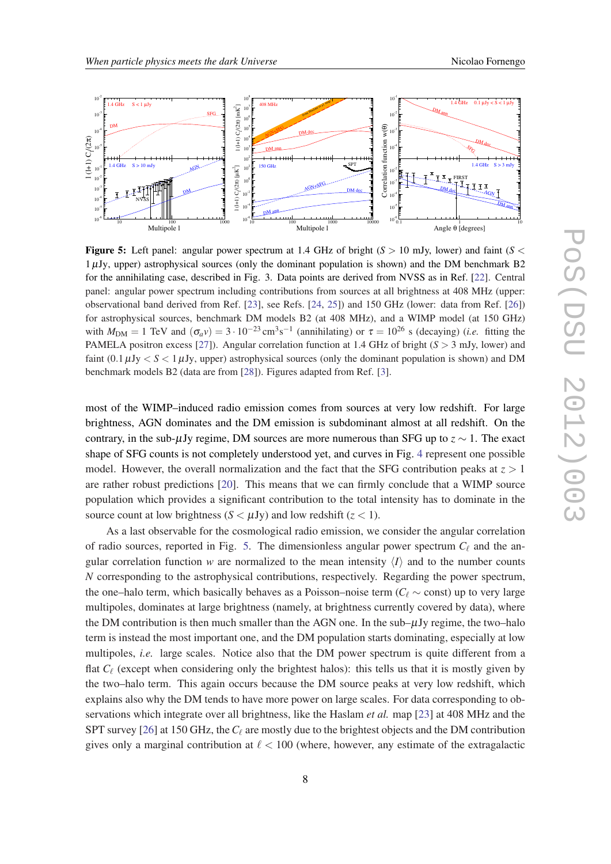<span id="page-7-0"></span>

**Figure 5:** Left panel: angular power spectrum at 1.4 GHz of bright  $(S > 10$  mJy, lower) and faint  $(S <$ 1µJy, upper) astrophysical sources (only the dominant population is shown) and the DM benchmark B2 for the annihilating case, described in Fig. 3. Data points are derived from NVSS as in Ref. [\[22](#page-13-0)]. Central panel: angular power spectrum including contributions from sources at all brightness at 408 MHz (upper: observational band derived from Ref. [\[23](#page-13-0)], see Refs. [\[24](#page-13-0), [25](#page-13-0)]) and 150 GHz (lower: data from Ref. [\[26](#page-13-0)]) for astrophysical sources, benchmark DM models B2 (at 408 MHz), and a WIMP model (at 150 GHz) with  $M_{\text{DM}} = 1$  TeV and  $(\sigma_a v) = 3 \cdot 10^{-23} \text{ cm}^3 \text{s}^{-1}$  (annihilating) or  $\tau = 10^{26}$  s (decaying) (*i.e.* fitting the PAMELA positron excess [[27\]](#page-13-0)). Angular correlation function at 1.4 GHz of bright  $(S > 3$  mJy, lower) and faint  $(0.1 \mu Jy < S < 1 \mu Jy$ , upper) astrophysical sources (only the dominant population is shown) and DM benchmark models B2 (data are from [[28\]](#page-13-0)). Figures adapted from Ref. [[3\]](#page-13-0).

most of the WIMP–induced radio emission comes from sources at very low redshift. For large brightness, AGN dominates and the DM emission is subdominant almost at all redshift. On the contrary, in the sub- $\mu$ Jy regime, DM sources are more numerous than SFG up to  $z \sim 1$ . The exact shape of SFG counts is not completely understood yet, and curves in Fig. [4](#page-6-0) represent one possible model. However, the overall normalization and the fact that the SFG contribution peaks at  $z > 1$ are rather robust predictions [[20\]](#page-13-0). This means that we can firmly conclude that a WIMP source population which provides a significant contribution to the total intensity has to dominate in the source count at low brightness  $(S < \mu Jy)$  and low redshift  $(z < 1)$ .

As a last observable for the cosmological radio emission, we consider the angular correlation of radio sources, reported in Fig. 5. The dimensionless angular power spectrum  $C_{\ell}$  and the angular correlation function *w* are normalized to the mean intensity  $\langle I \rangle$  and to the number counts *N* corresponding to the astrophysical contributions, respectively. Regarding the power spectrum, the one–halo term, which basically behaves as a Poisson–noise term ( $C_\ell \sim$  const) up to very large multipoles, dominates at large brightness (namely, at brightness currently covered by data), where the DM contribution is then much smaller than the AGN one. In the  $sub–\mu Jy$  regime, the two–halo term is instead the most important one, and the DM population starts dominating, especially at low multipoles, *i.e.* large scales. Notice also that the DM power spectrum is quite different from a flat  $C_{\ell}$  (except when considering only the brightest halos): this tells us that it is mostly given by the two–halo term. This again occurs because the DM source peaks at very low redshift, which explains also why the DM tends to have more power on large scales. For data corresponding to observations which integrate over all brightness, like the Haslam *et al.* map [[23\]](#page-13-0) at 408 MHz and the SPT survey [\[26](#page-13-0)] at 150 GHz, the  $C_\ell$  are mostly due to the brightest objects and the DM contribution gives only a marginal contribution at  $\ell < 100$  (where, however, any estimate of the extragalactic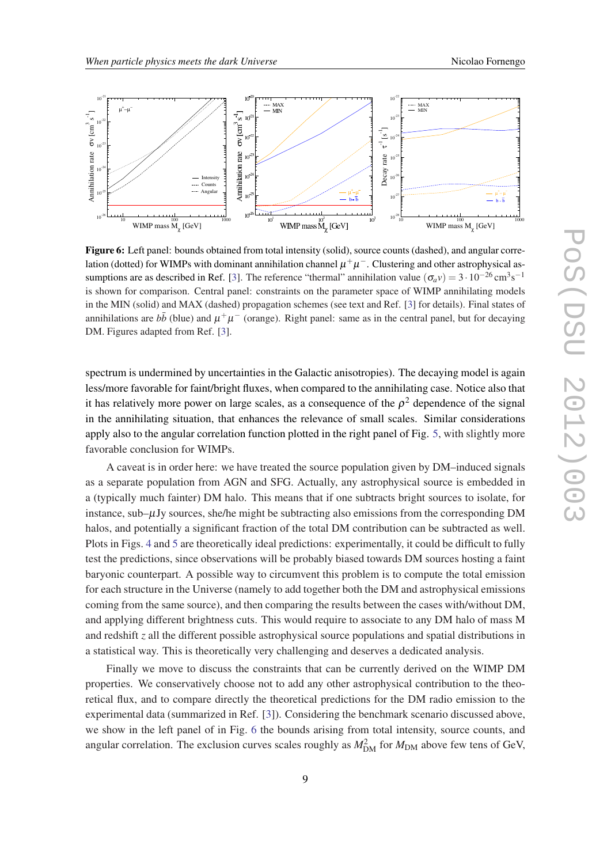<span id="page-8-0"></span>

Figure 6: Left panel: bounds obtained from total intensity (solid), source counts (dashed), and angular correlation (dotted) for WIMPs with dominant annihilation channel  $\mu^+\mu^-$ . Clustering and other astrophysical as-sumptions are as described in Ref. [[3\]](#page-13-0). The reference "thermal" annihilation value ( $\sigma_a v$ ) = 3 · 10<sup>-26</sup> cm<sup>3</sup>s<sup>-1</sup> is shown for comparison. Central panel: constraints on the parameter space of WIMP annihilating models in the MIN (solid) and MAX (dashed) propagation schemes (see text and Ref. [\[3](#page-13-0)] for details). Final states of annihilations are  $b\bar{b}$  (blue) and  $\mu^+\mu^-$  (orange). Right panel: same as in the central panel, but for decaying DM. Figures adapted from Ref. [\[3](#page-13-0)].

spectrum is undermined by uncertainties in the Galactic anisotropies). The decaying model is again less/more favorable for faint/bright fluxes, when compared to the annihilating case. Notice also that it has relatively more power on large scales, as a consequence of the  $\rho^2$  dependence of the signal in the annihilating situation, that enhances the relevance of small scales. Similar considerations apply also to the angular correlation function plotted in the right panel of Fig. [5](#page-7-0), with slightly more favorable conclusion for WIMPs.

A caveat is in order here: we have treated the source population given by DM–induced signals as a separate population from AGN and SFG. Actually, any astrophysical source is embedded in a (typically much fainter) DM halo. This means that if one subtracts bright sources to isolate, for instance, sub– $\mu$ Jy sources, she/he might be subtracting also emissions from the corresponding DM halos, and potentially a significant fraction of the total DM contribution can be subtracted as well. Plots in Figs. [4](#page-6-0) and [5](#page-7-0) are theoretically ideal predictions: experimentally, it could be difficult to fully test the predictions, since observations will be probably biased towards DM sources hosting a faint baryonic counterpart. A possible way to circumvent this problem is to compute the total emission for each structure in the Universe (namely to add together both the DM and astrophysical emissions coming from the same source), and then comparing the results between the cases with/without DM, and applying different brightness cuts. This would require to associate to any DM halo of mass M and redshift *z* all the different possible astrophysical source populations and spatial distributions in a statistical way. This is theoretically very challenging and deserves a dedicated analysis.

Finally we move to discuss the constraints that can be currently derived on the WIMP DM properties. We conservatively choose not to add any other astrophysical contribution to the theoretical flux, and to compare directly the theoretical predictions for the DM radio emission to the experimental data (summarized in Ref. [\[3\]](#page-13-0)). Considering the benchmark scenario discussed above, we show in the left panel of in Fig. 6 the bounds arising from total intensity, source counts, and angular correlation. The exclusion curves scales roughly as  $M_{\text{DM}}^2$  for  $M_{\text{DM}}$  above few tens of GeV,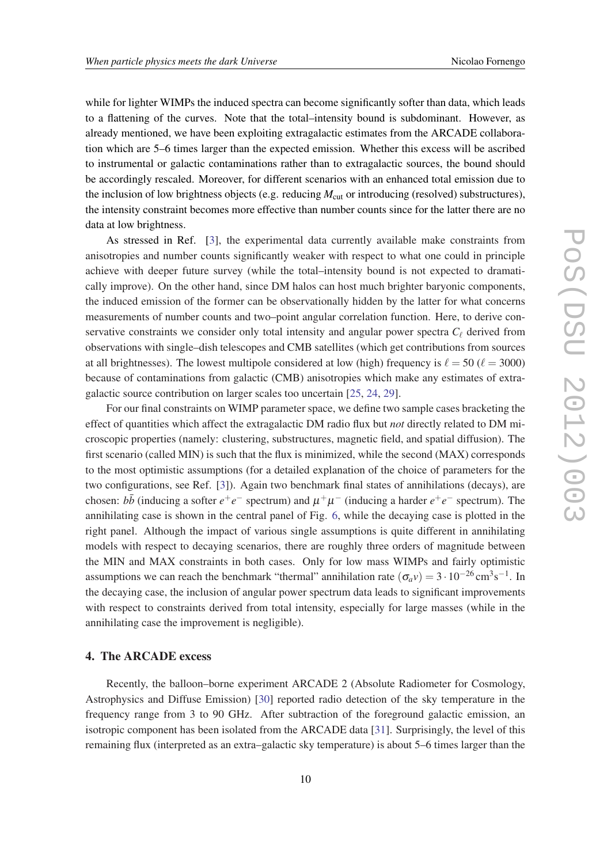while for lighter WIMPs the induced spectra can become significantly softer than data, which leads to a flattening of the curves. Note that the total–intensity bound is subdominant. However, as already mentioned, we have been exploiting extragalactic estimates from the ARCADE collaboration which are 5–6 times larger than the expected emission. Whether this excess will be ascribed to instrumental or galactic contaminations rather than to extragalactic sources, the bound should be accordingly rescaled. Moreover, for different scenarios with an enhanced total emission due to the inclusion of low brightness objects (e.g. reducing  $M_{\text{cut}}$  or introducing (resolved) substructures), the intensity constraint becomes more effective than number counts since for the latter there are no data at low brightness.

As stressed in Ref. [[3](#page-13-0)], the experimental data currently available make constraints from anisotropies and number counts significantly weaker with respect to what one could in principle achieve with deeper future survey (while the total–intensity bound is not expected to dramatically improve). On the other hand, since DM halos can host much brighter baryonic components, the induced emission of the former can be observationally hidden by the latter for what concerns measurements of number counts and two–point angular correlation function. Here, to derive conservative constraints we consider only total intensity and angular power spectra  $C_\ell$  derived from observations with single–dish telescopes and CMB satellites (which get contributions from sources at all brightnesses). The lowest multipole considered at low (high) frequency is  $\ell = 50$  ( $\ell = 3000$ ) because of contaminations from galactic (CMB) anisotropies which make any estimates of extragalactic source contribution on larger scales too uncertain [[25,](#page-13-0) [24](#page-13-0), [29\]](#page-13-0).

For our final constraints on WIMP parameter space, we define two sample cases bracketing the effect of quantities which affect the extragalactic DM radio flux but *not* directly related to DM microscopic properties (namely: clustering, substructures, magnetic field, and spatial diffusion). The first scenario (called MIN) is such that the flux is minimized, while the second (MAX) corresponds to the most optimistic assumptions (for a detailed explanation of the choice of parameters for the two configurations, see Ref. [\[3\]](#page-13-0)). Again two benchmark final states of annihilations (decays), are chosen:  $b\bar{b}$  (inducing a softer  $e^+e^-$  spectrum) and  $\mu^+\mu^-$  (inducing a harder  $e^+e^-$  spectrum). The annihilating case is shown in the central panel of Fig. [6](#page-8-0), while the decaying case is plotted in the right panel. Although the impact of various single assumptions is quite different in annihilating models with respect to decaying scenarios, there are roughly three orders of magnitude between the MIN and MAX constraints in both cases. Only for low mass WIMPs and fairly optimistic assumptions we can reach the benchmark "thermal" annihilation rate  $(\sigma_a v) = 3 \cdot 10^{-26} \text{ cm}^3 \text{s}^{-1}$ . In the decaying case, the inclusion of angular power spectrum data leads to significant improvements with respect to constraints derived from total intensity, especially for large masses (while in the annihilating case the improvement is negligible).

#### 4. The ARCADE excess

Recently, the balloon–borne experiment ARCADE 2 (Absolute Radiometer for Cosmology, Astrophysics and Diffuse Emission) [\[30\]](#page-14-0) reported radio detection of the sky temperature in the frequency range from 3 to 90 GHz. After subtraction of the foreground galactic emission, an isotropic component has been isolated from the ARCADE data [\[31](#page-14-0)]. Surprisingly, the level of this remaining flux (interpreted as an extra–galactic sky temperature) is about 5–6 times larger than the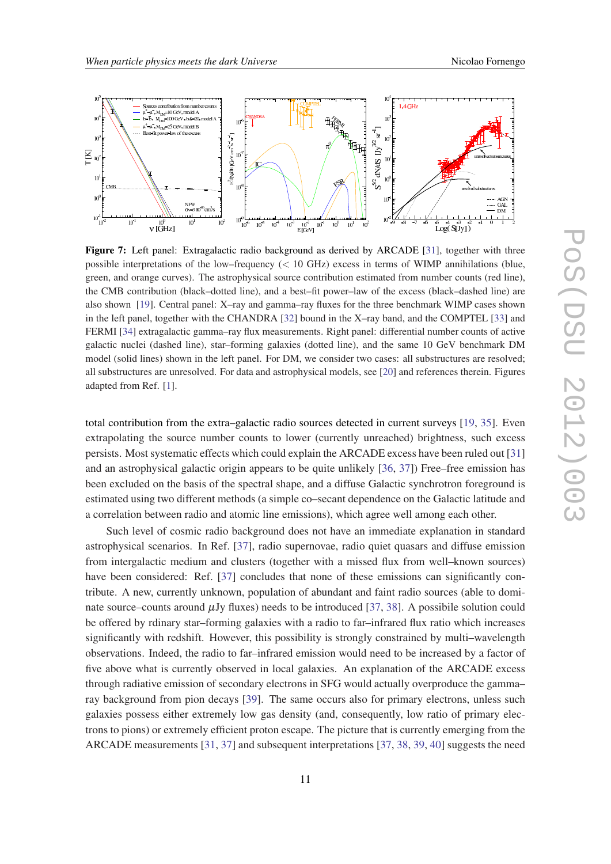<span id="page-10-0"></span>

Figure 7: Left panel: Extragalactic radio background as derived by ARCADE [[31\]](#page-14-0), together with three possible interpretations of the low–frequency  $(< 10$  GHz) excess in terms of WIMP annihilations (blue, green, and orange curves). The astrophysical source contribution estimated from number counts (red line), the CMB contribution (black–dotted line), and a best–fit power–law of the excess (black–dashed line) are also shown [\[19](#page-13-0)]. Central panel: X–ray and gamma–ray fluxes for the three benchmark WIMP cases shown in the left panel, together with the CHANDRA [[32\]](#page-14-0) bound in the X–ray band, and the COMPTEL [[33\]](#page-14-0) and FERMI [[34](#page-14-0)] extragalactic gamma–ray flux measurements. Right panel: differential number counts of active galactic nuclei (dashed line), star–forming galaxies (dotted line), and the same 10 GeV benchmark DM model (solid lines) shown in the left panel. For DM, we consider two cases: all substructures are resolved; all substructures are unresolved. For data and astrophysical models, see [\[20](#page-13-0)] and references therein. Figures adapted from Ref. [[1\]](#page-12-0).

total contribution from the extra–galactic radio sources detected in current surveys [[19,](#page-13-0) [35](#page-14-0)]. Even extrapolating the source number counts to lower (currently unreached) brightness, such excess persists. Most systematic effects which could explain the ARCADE excess have been ruled out [\[31](#page-14-0)] and an astrophysical galactic origin appears to be quite unlikely [\[36](#page-14-0), [37\]](#page-14-0)) Free–free emission has been excluded on the basis of the spectral shape, and a diffuse Galactic synchrotron foreground is estimated using two different methods (a simple co–secant dependence on the Galactic latitude and a correlation between radio and atomic line emissions), which agree well among each other.

Such level of cosmic radio background does not have an immediate explanation in standard astrophysical scenarios. In Ref. [\[37\]](#page-14-0), radio supernovae, radio quiet quasars and diffuse emission from intergalactic medium and clusters (together with a missed flux from well–known sources) have been considered: Ref. [\[37](#page-14-0)] concludes that none of these emissions can significantly contribute. A new, currently unknown, population of abundant and faint radio sources (able to dominate source–counts around  $\mu$ Jy fluxes) needs to be introduced [\[37](#page-14-0), [38](#page-14-0)]. A possibile solution could be offered by rdinary star–forming galaxies with a radio to far–infrared flux ratio which increases significantly with redshift. However, this possibility is strongly constrained by multi–wavelength observations. Indeed, the radio to far–infrared emission would need to be increased by a factor of five above what is currently observed in local galaxies. An explanation of the ARCADE excess through radiative emission of secondary electrons in SFG would actually overproduce the gamma– ray background from pion decays [[39\]](#page-14-0). The same occurs also for primary electrons, unless such galaxies possess either extremely low gas density (and, consequently, low ratio of primary electrons to pions) or extremely efficient proton escape. The picture that is currently emerging from the ARCADE measurements [\[31](#page-14-0), [37](#page-14-0)] and subsequent interpretations [[37,](#page-14-0) [38,](#page-14-0) [39,](#page-14-0) [40\]](#page-14-0) suggests the need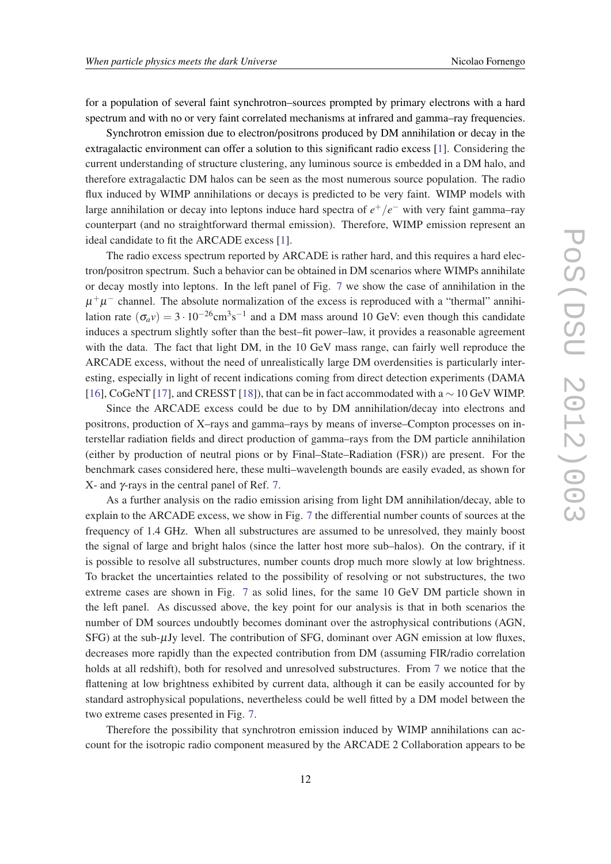for a population of several faint synchrotron–sources prompted by primary electrons with a hard spectrum and with no or very faint correlated mechanisms at infrared and gamma–ray frequencies.

Synchrotron emission due to electron/positrons produced by DM annihilation or decay in the extragalactic environment can offer a solution to this significant radio excess [\[1\]](#page-12-0). Considering the current understanding of structure clustering, any luminous source is embedded in a DM halo, and therefore extragalactic DM halos can be seen as the most numerous source population. The radio flux induced by WIMP annihilations or decays is predicted to be very faint. WIMP models with large annihilation or decay into leptons induce hard spectra of  $e^+/e^-$  with very faint gamma–ray counterpart (and no straightforward thermal emission). Therefore, WIMP emission represent an ideal candidate to fit the ARCADE excess [\[1\]](#page-12-0).

The radio excess spectrum reported by ARCADE is rather hard, and this requires a hard electron/positron spectrum. Such a behavior can be obtained in DM scenarios where WIMPs annihilate or decay mostly into leptons. In the left panel of Fig. [7](#page-10-0) we show the case of annihilation in the  $\mu^+\mu^-$  channel. The absolute normalization of the excess is reproduced with a "thermal" annihilation rate  $(\sigma_a v) = 3 \cdot 10^{-26} \text{cm}^3 \text{s}^{-1}$  and a DM mass around 10 GeV: even though this candidate induces a spectrum slightly softer than the best–fit power–law, it provides a reasonable agreement with the data. The fact that light DM, in the 10 GeV mass range, can fairly well reproduce the ARCADE excess, without the need of unrealistically large DM overdensities is particularly interesting, especially in light of recent indications coming from direct detection experiments (DAMA [[16\]](#page-13-0), CoGeNT [\[17](#page-13-0)], and CRESST [\[18\]](#page-13-0)), that can be in fact accommodated with a ∼ 10 GeV WIMP.

Since the ARCADE excess could be due to by DM annihilation/decay into electrons and positrons, production of X–rays and gamma–rays by means of inverse–Compton processes on interstellar radiation fields and direct production of gamma–rays from the DM particle annihilation (either by production of neutral pions or by Final–State–Radiation (FSR)) are present. For the benchmark cases considered here, these multi–wavelength bounds are easily evaded, as shown for X- and γ-rays in the central panel of Ref. [7](#page-10-0).

As a further analysis on the radio emission arising from light DM annihilation/decay, able to explain to the ARCADE excess, we show in Fig. [7](#page-10-0) the differential number counts of sources at the frequency of 1.4 GHz. When all substructures are assumed to be unresolved, they mainly boost the signal of large and bright halos (since the latter host more sub–halos). On the contrary, if it is possible to resolve all substructures, number counts drop much more slowly at low brightness. To bracket the uncertainties related to the possibility of resolving or not substructures, the two extreme cases are shown in Fig. [7](#page-10-0) as solid lines, for the same 10 GeV DM particle shown in the left panel. As discussed above, the key point for our analysis is that in both scenarios the number of DM sources undoubtly becomes dominant over the astrophysical contributions (AGN,  $SFG$ ) at the sub- $\mu$ Jy level. The contribution of SFG, dominant over AGN emission at low fluxes, decreases more rapidly than the expected contribution from DM (assuming FIR/radio correlation holds at all redshift), both for resolved and unresolved substructures. From [7](#page-10-0) we notice that the flattening at low brightness exhibited by current data, although it can be easily accounted for by standard astrophysical populations, nevertheless could be well fitted by a DM model between the two extreme cases presented in Fig. [7.](#page-10-0)

Therefore the possibility that synchrotron emission induced by WIMP annihilations can account for the isotropic radio component measured by the ARCADE 2 Collaboration appears to be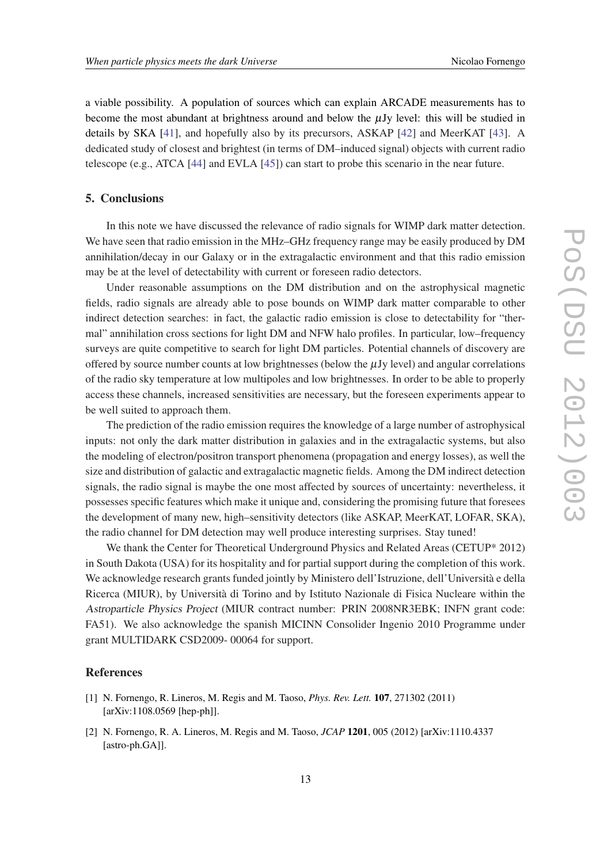<span id="page-12-0"></span>a viable possibility. A population of sources which can explain ARCADE measurements has to become the most abundant at brightness around and below the  $\mu$ Jy level: this will be studied in details by SKA [\[41](#page-14-0)], and hopefully also by its precursors, ASKAP [[42\]](#page-14-0) and MeerKAT [\[43](#page-14-0)]. A dedicated study of closest and brightest (in terms of DM–induced signal) objects with current radio telescope (e.g., ATCA [\[44](#page-14-0)] and EVLA [[45](#page-14-0)]) can start to probe this scenario in the near future.

### 5. Conclusions

In this note we have discussed the relevance of radio signals for WIMP dark matter detection. We have seen that radio emission in the MHz–GHz frequency range may be easily produced by DM annihilation/decay in our Galaxy or in the extragalactic environment and that this radio emission may be at the level of detectability with current or foreseen radio detectors.

Under reasonable assumptions on the DM distribution and on the astrophysical magnetic fields, radio signals are already able to pose bounds on WIMP dark matter comparable to other indirect detection searches: in fact, the galactic radio emission is close to detectability for "thermal" annihilation cross sections for light DM and NFW halo profiles. In particular, low–frequency surveys are quite competitive to search for light DM particles. Potential channels of discovery are offered by source number counts at low brightnesses (below the  $\mu$ Jy level) and angular correlations of the radio sky temperature at low multipoles and low brightnesses. In order to be able to properly access these channels, increased sensitivities are necessary, but the foreseen experiments appear to be well suited to approach them.

The prediction of the radio emission requires the knowledge of a large number of astrophysical inputs: not only the dark matter distribution in galaxies and in the extragalactic systems, but also the modeling of electron/positron transport phenomena (propagation and energy losses), as well the size and distribution of galactic and extragalactic magnetic fields. Among the DM indirect detection signals, the radio signal is maybe the one most affected by sources of uncertainty: nevertheless, it possesses specific features which make it unique and, considering the promising future that foresees the development of many new, high–sensitivity detectors (like ASKAP, MeerKAT, LOFAR, SKA), the radio channel for DM detection may well produce interesting surprises. Stay tuned!

We thank the Center for Theoretical Underground Physics and Related Areas (CETUP\* 2012) in South Dakota (USA) for its hospitality and for partial support during the completion of this work. We acknowledge research grants funded jointly by Ministero dell'Istruzione, dell'Università e della Ricerca (MIUR), by Università di Torino and by Istituto Nazionale di Fisica Nucleare within the Astroparticle Physics Project (MIUR contract number: PRIN 2008NR3EBK; INFN grant code: FA51). We also acknowledge the spanish MICINN Consolider Ingenio 2010 Programme under grant MULTIDARK CSD2009- 00064 for support.

#### **References**

- [1] N. Fornengo, R. Lineros, M. Regis and M. Taoso, *Phys. Rev. Lett.* 107, 271302 (2011) [arXiv:1108.0569 [hep-ph]].
- [2] N. Fornengo, R. A. Lineros, M. Regis and M. Taoso, *JCAP* 1201, 005 (2012) [arXiv:1110.4337 [astro-ph.GA]].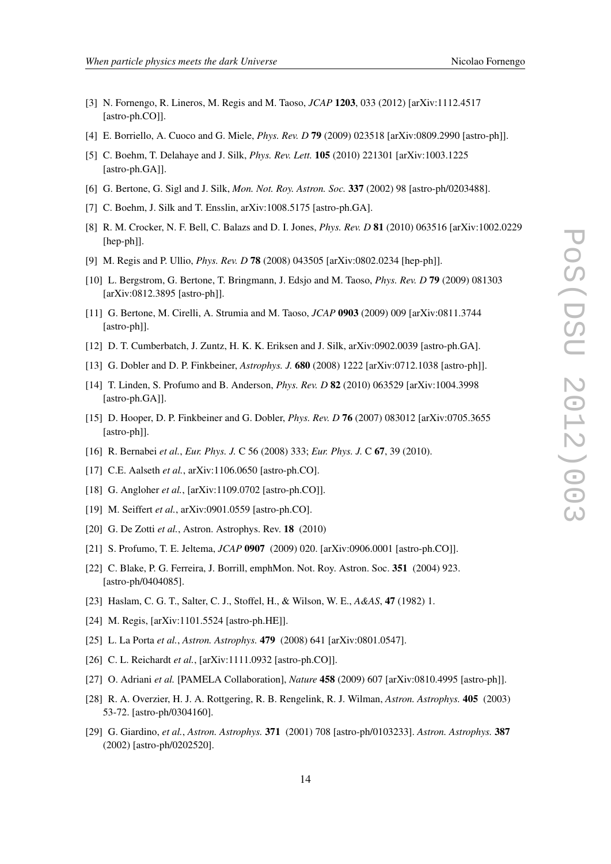- <span id="page-13-0"></span>[3] N. Fornengo, R. Lineros, M. Regis and M. Taoso, *JCAP* 1203, 033 (2012) [arXiv:1112.4517 [astro-ph.CO]].
- [4] E. Borriello, A. Cuoco and G. Miele, *Phys. Rev. D* 79 (2009) 023518 [arXiv:0809.2990 [astro-ph]].
- [5] C. Boehm, T. Delahaye and J. Silk, *Phys. Rev. Lett.* 105 (2010) 221301 [arXiv:1003.1225 [astro-ph.GA]].
- [6] G. Bertone, G. Sigl and J. Silk, *Mon. Not. Roy. Astron. Soc.* 337 (2002) 98 [astro-ph/0203488].
- [7] C. Boehm, J. Silk and T. Ensslin, arXiv:1008.5175 [astro-ph.GA].
- [8] R. M. Crocker, N. F. Bell, C. Balazs and D. I. Jones, *Phys. Rev. D* 81 (2010) 063516 [arXiv:1002.0229 [hep-ph]].
- [9] M. Regis and P. Ullio, *Phys. Rev. D* 78 (2008) 043505 [arXiv:0802.0234 [hep-ph]].
- [10] L. Bergstrom, G. Bertone, T. Bringmann, J. Edsjo and M. Taoso, *Phys. Rev. D* 79 (2009) 081303 [arXiv:0812.3895 [astro-ph]].
- [11] G. Bertone, M. Cirelli, A. Strumia and M. Taoso, *JCAP* 0903 (2009) 009 [arXiv:0811.3744 [astro-ph]].
- [12] D. T. Cumberbatch, J. Zuntz, H. K. K. Eriksen and J. Silk, arXiv:0902.0039 [astro-ph.GA].
- [13] G. Dobler and D. P. Finkbeiner, *Astrophys. J.* 680 (2008) 1222 [arXiv:0712.1038 [astro-ph]].
- [14] T. Linden, S. Profumo and B. Anderson, *Phys. Rev. D* 82 (2010) 063529 [arXiv:1004.3998 [astro-ph.GA]].
- [15] D. Hooper, D. P. Finkbeiner and G. Dobler, *Phys. Rev. D* 76 (2007) 083012 [arXiv:0705.3655 [astro-ph]].
- [16] R. Bernabei *et al.*, *Eur. Phys. J.* C 56 (2008) 333; *Eur. Phys. J.* C 67, 39 (2010).
- [17] C.E. Aalseth *et al.*, arXiv:1106.0650 [astro-ph.CO].
- [18] G. Angloher *et al.*, [arXiv:1109.0702 [astro-ph.CO]].
- [19] M. Seiffert *et al.*, arXiv:0901.0559 [astro-ph.CO].
- [20] G. De Zotti *et al.*, Astron. Astrophys. Rev. **18** (2010)
- [21] S. Profumo, T. E. Jeltema, *JCAP* 0907 (2009) 020. [arXiv:0906.0001 [astro-ph.CO]].
- [22] C. Blake, P. G. Ferreira, J. Borrill, emphMon. Not. Roy. Astron. Soc. 351 (2004) 923. [astro-ph/0404085].
- [23] Haslam, C. G. T., Salter, C. J., Stoffel, H., & Wilson, W. E., *A&AS*, 47 (1982) 1.
- [24] M. Regis, [arXiv:1101.5524 [astro-ph.HE]].
- [25] L. La Porta *et al.*, *Astron. Astrophys.* 479 (2008) 641 [arXiv:0801.0547].
- [26] C. L. Reichardt *et al.*, [arXiv:1111.0932 [astro-ph.CO]].
- [27] O. Adriani *et al.* [PAMELA Collaboration], *Nature* 458 (2009) 607 [arXiv:0810.4995 [astro-ph]].
- [28] R. A. Overzier, H. J. A. Rottgering, R. B. Rengelink, R. J. Wilman, *Astron. Astrophys.* 405 (2003) 53-72. [astro-ph/0304160].
- [29] G. Giardino, *et al.*, *Astron. Astrophys.* 371 (2001) 708 [astro-ph/0103233]. *Astron. Astrophys.* 387 (2002) [astro-ph/0202520].